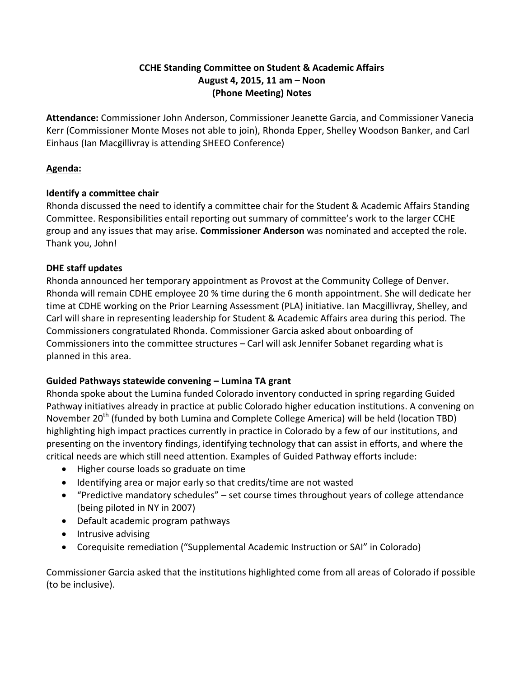## **CCHE Standing Committee on Student & Academic Affairs August 4, 2015, 11 am – Noon (Phone Meeting) Notes**

**Attendance:** Commissioner John Anderson, Commissioner Jeanette Garcia, and Commissioner Vanecia Kerr (Commissioner Monte Moses not able to join), Rhonda Epper, Shelley Woodson Banker, and Carl Einhaus (Ian Macgillivray is attending SHEEO Conference)

## **Agenda:**

## **Identify a committee chair**

Rhonda discussed the need to identify a committee chair for the Student & Academic Affairs Standing Committee. Responsibilities entail reporting out summary of committee's work to the larger CCHE group and any issues that may arise. **Commissioner Anderson** was nominated and accepted the role. Thank you, John!

# **DHE staff updates**

Rhonda announced her temporary appointment as Provost at the Community College of Denver. Rhonda will remain CDHE employee 20 % time during the 6 month appointment. She will dedicate her time at CDHE working on the Prior Learning Assessment (PLA) initiative. Ian Macgillivray, Shelley, and Carl will share in representing leadership for Student & Academic Affairs area during this period. The Commissioners congratulated Rhonda. Commissioner Garcia asked about onboarding of Commissioners into the committee structures – Carl will ask Jennifer Sobanet regarding what is planned in this area.

# **Guided Pathways statewide convening – Lumina TA grant**

Rhonda spoke about the Lumina funded Colorado inventory conducted in spring regarding Guided Pathway initiatives already in practice at public Colorado higher education institutions. A convening on November 20<sup>th</sup> (funded by both Lumina and Complete College America) will be held (location TBD) highlighting high impact practices currently in practice in Colorado by a few of our institutions, and presenting on the inventory findings, identifying technology that can assist in efforts, and where the critical needs are which still need attention. Examples of Guided Pathway efforts include:

- Higher course loads so graduate on time
- Identifying area or major early so that credits/time are not wasted
- "Predictive mandatory schedules" set course times throughout years of college attendance (being piloted in NY in 2007)
- Default academic program pathways
- Intrusive advising
- Corequisite remediation ("Supplemental Academic Instruction or SAI" in Colorado)

Commissioner Garcia asked that the institutions highlighted come from all areas of Colorado if possible (to be inclusive).